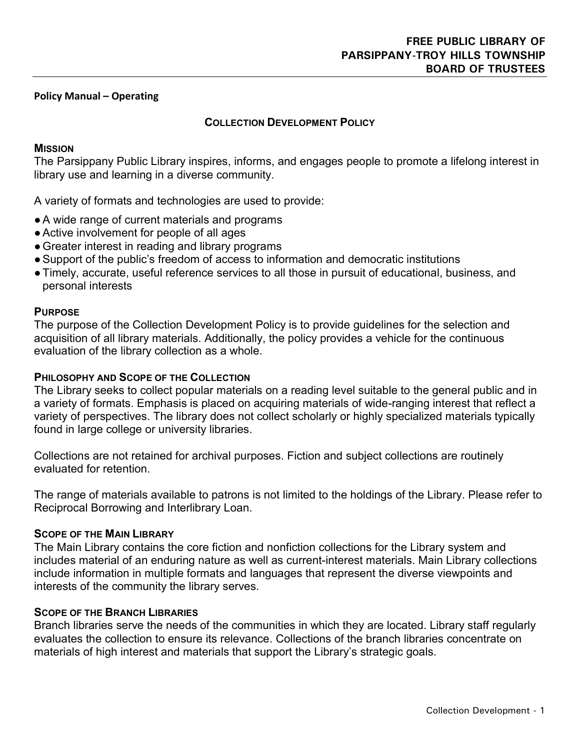## COLLECTION DEVELOPMENT POLICY

#### **MISSION**

The Parsippany Public Library inspires, informs, and engages people to promote a lifelong interest in library use and learning in a diverse community.

A variety of formats and technologies are used to provide:

- A wide range of current materials and programs
- Active involvement for people of all ages
- Greater interest in reading and library programs
- Support of the public's freedom of access to information and democratic institutions
- Timely, accurate, useful reference services to all those in pursuit of educational, business, and personal interests

#### PURPOSE

The purpose of the Collection Development Policy is to provide guidelines for the selection and acquisition of all library materials. Additionally, the policy provides a vehicle for the continuous evaluation of the library collection as a whole.

## PHILOSOPHY AND SCOPE OF THE COLLECTION

The Library seeks to collect popular materials on a reading level suitable to the general public and in a variety of formats. Emphasis is placed on acquiring materials of wide-ranging interest that reflect a variety of perspectives. The library does not collect scholarly or highly specialized materials typically found in large college or university libraries.

Collections are not retained for archival purposes. Fiction and subject collections are routinely evaluated for retention.

The range of materials available to patrons is not limited to the holdings of the Library. Please refer to Reciprocal Borrowing and Interlibrary Loan.

#### SCOPE OF THE MAIN LIBRARY

The Main Library contains the core fiction and nonfiction collections for the Library system and includes material of an enduring nature as well as current-interest materials. Main Library collections include information in multiple formats and languages that represent the diverse viewpoints and interests of the community the library serves.

#### SCOPE OF THE BRANCH LIBRARIES

Branch libraries serve the needs of the communities in which they are located. Library staff regularly evaluates the collection to ensure its relevance. Collections of the branch libraries concentrate on materials of high interest and materials that support the Library's strategic goals.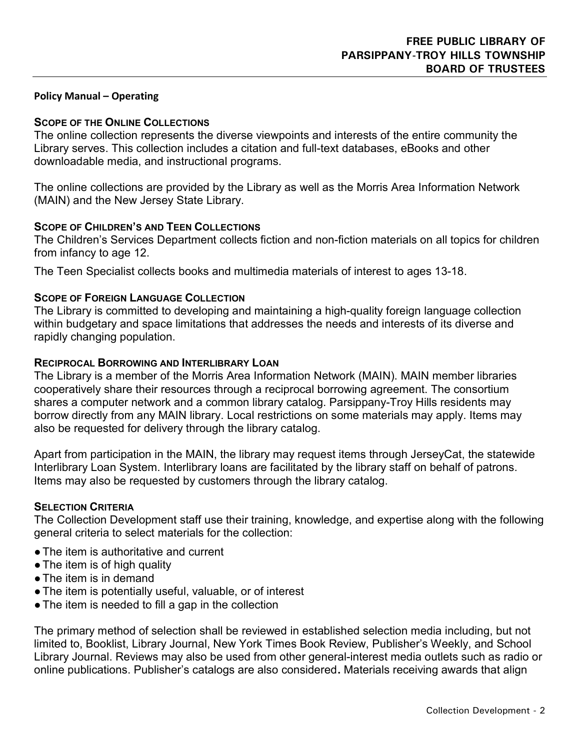# SCOPE OF THE ONLINE COLLECTIONS

The online collection represents the diverse viewpoints and interests of the entire community the Library serves. This collection includes a citation and full-text databases, eBooks and other downloadable media, and instructional programs.

The online collections are provided by the Library as well as the Morris Area Information Network (MAIN) and the New Jersey State Library.

# SCOPE OF CHILDREN'S AND TEEN COLLECTIONS

The Children's Services Department collects fiction and non-fiction materials on all topics for children from infancy to age 12.

The Teen Specialist collects books and multimedia materials of interest to ages 13-18.

# SCOPE OF FOREIGN LANGUAGE COLLECTION

The Library is committed to developing and maintaining a high-quality foreign language collection within budgetary and space limitations that addresses the needs and interests of its diverse and rapidly changing population.

# RECIPROCAL BORROWING AND INTERLIBRARY LOAN

The Library is a member of the Morris Area Information Network (MAIN). MAIN member libraries cooperatively share their resources through a reciprocal borrowing agreement. The consortium shares a computer network and a common library catalog. Parsippany-Troy Hills residents may borrow directly from any MAIN library. Local restrictions on some materials may apply. Items may also be requested for delivery through the library catalog.

Apart from participation in the MAIN, the library may request items through JerseyCat, the statewide Interlibrary Loan System. Interlibrary loans are facilitated by the library staff on behalf of patrons. Items may also be requested by customers through the library catalog.

# SELECTION CRITERIA

The Collection Development staff use their training, knowledge, and expertise along with the following general criteria to select materials for the collection:

- The item is authoritative and current
- The item is of high quality
- The item is in demand
- The item is potentially useful, valuable, or of interest
- The item is needed to fill a gap in the collection

The primary method of selection shall be reviewed in established selection media including, but not limited to, Booklist, Library Journal, New York Times Book Review, Publisher's Weekly, and School Library Journal. Reviews may also be used from other general-interest media outlets such as radio or online publications. Publisher's catalogs are also considered. Materials receiving awards that align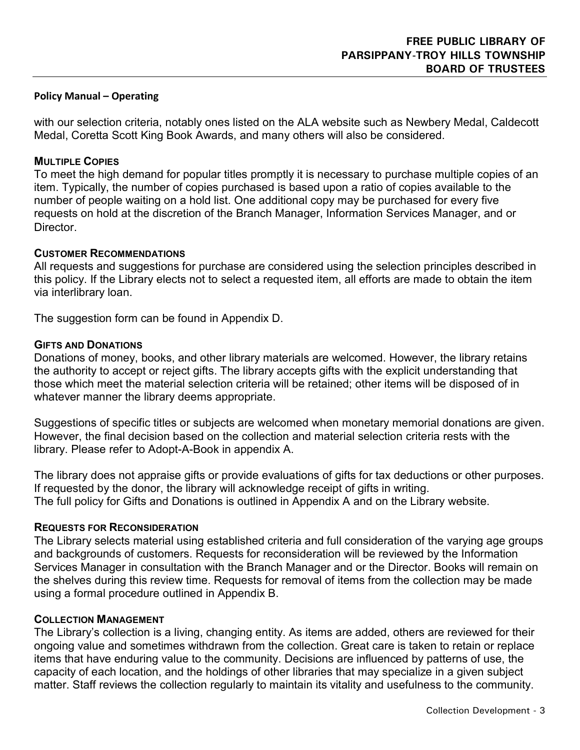with our selection criteria, notably ones listed on the ALA website such as Newbery Medal, Caldecott Medal, Coretta Scott King Book Awards, and many others will also be considered.

# MULTIPLE COPIES

To meet the high demand for popular titles promptly it is necessary to purchase multiple copies of an item. Typically, the number of copies purchased is based upon a ratio of copies available to the number of people waiting on a hold list. One additional copy may be purchased for every five requests on hold at the discretion of the Branch Manager, Information Services Manager, and or **Director** 

## CUSTOMER RECOMMENDATIONS

All requests and suggestions for purchase are considered using the selection principles described in this policy. If the Library elects not to select a requested item, all efforts are made to obtain the item via interlibrary loan.

The suggestion form can be found in Appendix D.

# GIFTS AND DONATIONS

Donations of money, books, and other library materials are welcomed. However, the library retains the authority to accept or reject gifts. The library accepts gifts with the explicit understanding that those which meet the material selection criteria will be retained; other items will be disposed of in whatever manner the library deems appropriate.

Suggestions of specific titles or subjects are welcomed when monetary memorial donations are given. However, the final decision based on the collection and material selection criteria rests with the library. Please refer to Adopt-A-Book in appendix A.

The library does not appraise gifts or provide evaluations of gifts for tax deductions or other purposes. If requested by the donor, the library will acknowledge receipt of gifts in writing. The full policy for Gifts and Donations is outlined in Appendix A and on the Library website.

# REQUESTS FOR RECONSIDERATION

The Library selects material using established criteria and full consideration of the varying age groups and backgrounds of customers. Requests for reconsideration will be reviewed by the Information Services Manager in consultation with the Branch Manager and or the Director. Books will remain on the shelves during this review time. Requests for removal of items from the collection may be made using a formal procedure outlined in Appendix B.

# COLLECTION MANAGEMENT

The Library's collection is a living, changing entity. As items are added, others are reviewed for their ongoing value and sometimes withdrawn from the collection. Great care is taken to retain or replace items that have enduring value to the community. Decisions are influenced by patterns of use, the capacity of each location, and the holdings of other libraries that may specialize in a given subject matter. Staff reviews the collection regularly to maintain its vitality and usefulness to the community.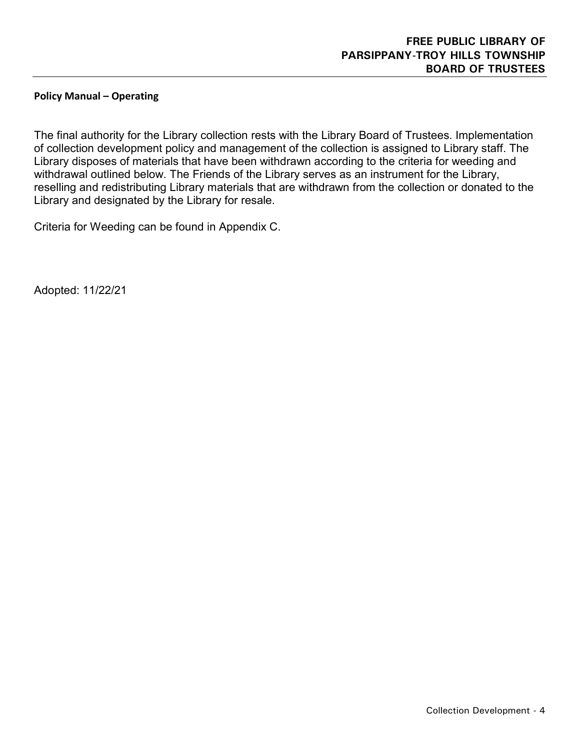The final authority for the Library collection rests with the Library Board of Trustees. Implementation of collection development policy and management of the collection is assigned to Library staff. The Library disposes of materials that have been withdrawn according to the criteria for weeding and withdrawal outlined below. The Friends of the Library serves as an instrument for the Library, reselling and redistributing Library materials that are withdrawn from the collection or donated to the Library and designated by the Library for resale.

Criteria for Weeding can be found in Appendix C.

Adopted: 11/22/21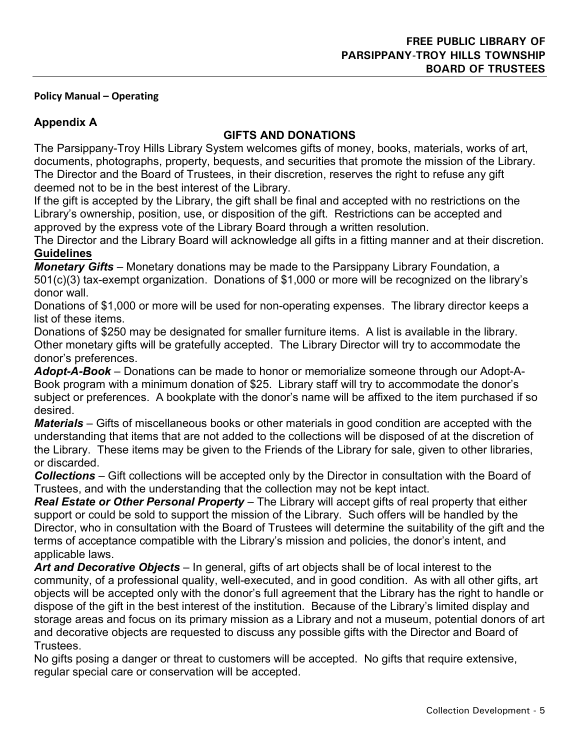# Appendix A

# GIFTS AND DONATIONS

The Parsippany-Troy Hills Library System welcomes gifts of money, books, materials, works of art, documents, photographs, property, bequests, and securities that promote the mission of the Library. The Director and the Board of Trustees, in their discretion, reserves the right to refuse any gift deemed not to be in the best interest of the Library.

If the gift is accepted by the Library, the gift shall be final and accepted with no restrictions on the Library's ownership, position, use, or disposition of the gift. Restrictions can be accepted and approved by the express vote of the Library Board through a written resolution.

The Director and the Library Board will acknowledge all gifts in a fitting manner and at their discretion. **Guidelines** 

**Monetary Gifts** – Monetary donations may be made to the Parsippany Library Foundation, a 501(c)(3) tax-exempt organization. Donations of \$1,000 or more will be recognized on the library's donor wall.

Donations of \$1,000 or more will be used for non-operating expenses. The library director keeps a list of these items.

Donations of \$250 may be designated for smaller furniture items. A list is available in the library. Other monetary gifts will be gratefully accepted. The Library Director will try to accommodate the donor's preferences.

Adopt-A-Book – Donations can be made to honor or memorialize someone through our Adopt-A-Book program with a minimum donation of \$25. Library staff will try to accommodate the donor's subject or preferences. A bookplate with the donor's name will be affixed to the item purchased if so desired.

Materials – Gifts of miscellaneous books or other materials in good condition are accepted with the understanding that items that are not added to the collections will be disposed of at the discretion of the Library. These items may be given to the Friends of the Library for sale, given to other libraries, or discarded.

**Collections** – Gift collections will be accepted only by the Director in consultation with the Board of Trustees, and with the understanding that the collection may not be kept intact.

Real Estate or Other Personal Property – The Library will accept gifts of real property that either support or could be sold to support the mission of the Library. Such offers will be handled by the Director, who in consultation with the Board of Trustees will determine the suitability of the gift and the terms of acceptance compatible with the Library's mission and policies, the donor's intent, and applicable laws.

Art and Decorative Objects – In general, gifts of art objects shall be of local interest to the community, of a professional quality, well-executed, and in good condition. As with all other gifts, art objects will be accepted only with the donor's full agreement that the Library has the right to handle or dispose of the gift in the best interest of the institution. Because of the Library's limited display and storage areas and focus on its primary mission as a Library and not a museum, potential donors of art and decorative objects are requested to discuss any possible gifts with the Director and Board of Trustees.

No gifts posing a danger or threat to customers will be accepted. No gifts that require extensive, regular special care or conservation will be accepted.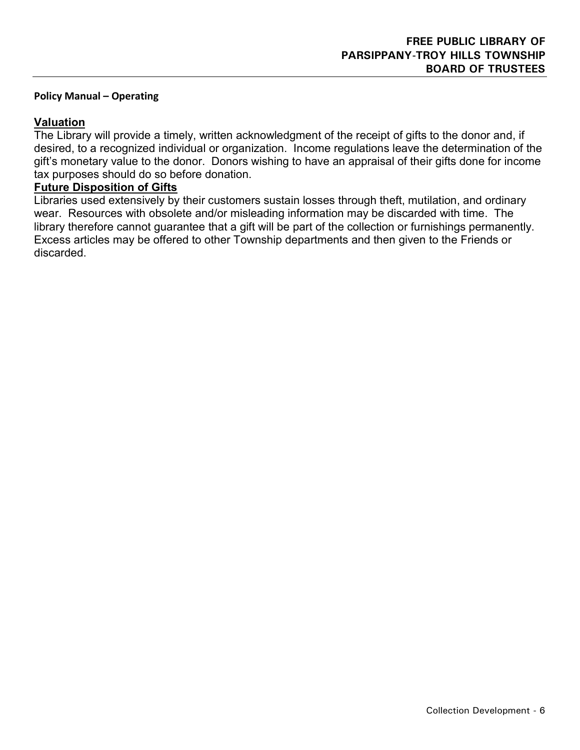# Valuation

The Library will provide a timely, written acknowledgment of the receipt of gifts to the donor and, if desired, to a recognized individual or organization. Income regulations leave the determination of the gift's monetary value to the donor. Donors wishing to have an appraisal of their gifts done for income tax purposes should do so before donation.

# Future Disposition of Gifts

Libraries used extensively by their customers sustain losses through theft, mutilation, and ordinary wear. Resources with obsolete and/or misleading information may be discarded with time. The library therefore cannot guarantee that a gift will be part of the collection or furnishings permanently. Excess articles may be offered to other Township departments and then given to the Friends or discarded.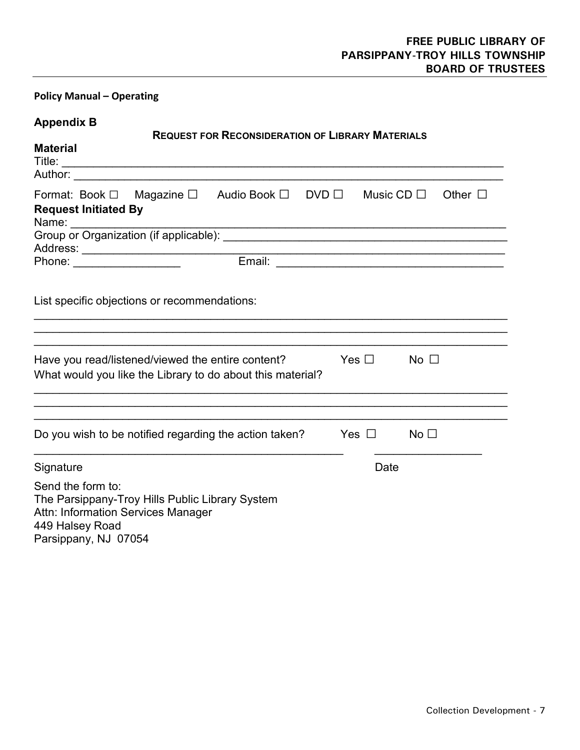|  | <b>Appendix B</b> |  |
|--|-------------------|--|
|--|-------------------|--|

| <b>Material</b>                                                                                                                                       |                            |
|-------------------------------------------------------------------------------------------------------------------------------------------------------|----------------------------|
|                                                                                                                                                       |                            |
| Format: Book □ Magazine □ Audio Book □ DVD □ Music CD □ Other □<br><b>Request Initiated By</b><br>Name: Name                                          |                            |
|                                                                                                                                                       |                            |
| Phone: ___________________                                                                                                                            | Email:                     |
| List specific objections or recommendations:                                                                                                          |                            |
| Have you read/listened/viewed the entire content?<br>What would you like the Library to do about this material?                                       | Yes $\Box$<br>No $\square$ |
| Do you wish to be notified regarding the action taken?                                                                                                | Yes $\Box$<br>No $\square$ |
| Signature                                                                                                                                             | Date                       |
| Send the form to:<br>The Parsippany-Troy Hills Public Library System<br>Attn: Information Services Manager<br>449 Halsey Road<br>Parsippany, NJ 07054 |                            |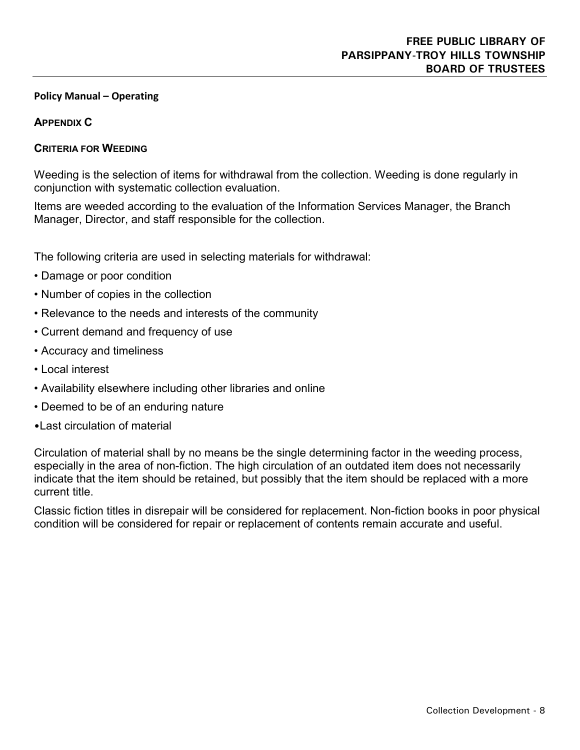# APPENDIX C

# CRITERIA FOR WEEDING

Weeding is the selection of items for withdrawal from the collection. Weeding is done regularly in conjunction with systematic collection evaluation.

Items are weeded according to the evaluation of the Information Services Manager, the Branch Manager, Director, and staff responsible for the collection.

The following criteria are used in selecting materials for withdrawal:

- Damage or poor condition
- Number of copies in the collection
- Relevance to the needs and interests of the community
- Current demand and frequency of use
- Accuracy and timeliness
- Local interest
- Availability elsewhere including other libraries and online
- Deemed to be of an enduring nature
- •Last circulation of material

Circulation of material shall by no means be the single determining factor in the weeding process, especially in the area of non-fiction. The high circulation of an outdated item does not necessarily indicate that the item should be retained, but possibly that the item should be replaced with a more current title.

Classic fiction titles in disrepair will be considered for replacement. Non-fiction books in poor physical condition will be considered for repair or replacement of contents remain accurate and useful.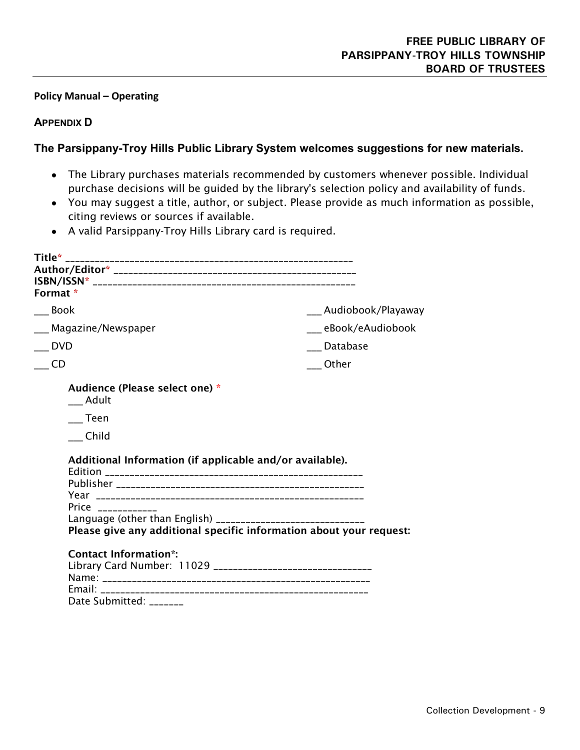# APPENDIX D

# The Parsippany-Troy Hills Public Library System welcomes suggestions for new materials.

- The Library purchases materials recommended by customers whenever possible. Individual purchase decisions will be guided by the library's selection policy and availability of funds.
- You may suggest a title, author, or subject. Please provide as much information as possible, citing reviews or sources if available.
- A valid Parsippany-Troy Hills Library card is required.

| Title*<br>Format *                                                                                                                                                                                                                                                                       |                    |
|------------------------------------------------------------------------------------------------------------------------------------------------------------------------------------------------------------------------------------------------------------------------------------------|--------------------|
| Book                                                                                                                                                                                                                                                                                     | Audiobook/Playaway |
| Magazine/Newspaper                                                                                                                                                                                                                                                                       | eBook/eAudiobook   |
| <b>DVD</b>                                                                                                                                                                                                                                                                               | Database           |
| CD                                                                                                                                                                                                                                                                                       | Other              |
| Audience (Please select one) *<br>Adult<br>Teen<br>Child<br>Additional Information (if applicable and/or available).                                                                                                                                                                     |                    |
| Price $\frac{1}{2}$<br>Language (other than English) ________________________________<br>Please give any additional specific information about your request:<br><b>Contact Information*:</b><br>Library Card Number: 11029 __________________________________<br>Date Submitted: _______ |                    |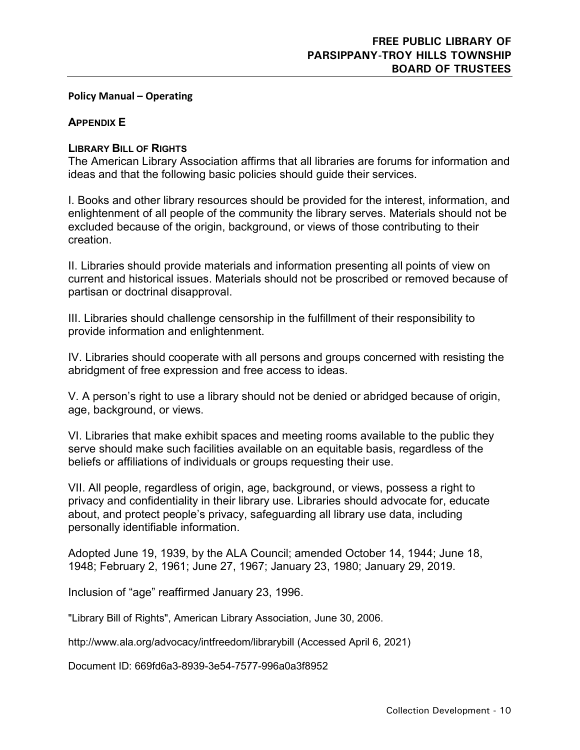## APPENDIX E

## LIBRARY BILL OF RIGHTS

The American Library Association affirms that all libraries are forums for information and ideas and that the following basic policies should guide their services.

I. Books and other library resources should be provided for the interest, information, and enlightenment of all people of the community the library serves. Materials should not be excluded because of the origin, background, or views of those contributing to their creation.

II. Libraries should provide materials and information presenting all points of view on current and historical issues. Materials should not be proscribed or removed because of partisan or doctrinal disapproval.

III. Libraries should challenge censorship in the fulfillment of their responsibility to provide information and enlightenment.

IV. Libraries should cooperate with all persons and groups concerned with resisting the abridgment of free expression and free access to ideas.

V. A person's right to use a library should not be denied or abridged because of origin, age, background, or views.

VI. Libraries that make exhibit spaces and meeting rooms available to the public they serve should make such facilities available on an equitable basis, regardless of the beliefs or affiliations of individuals or groups requesting their use.

VII. All people, regardless of origin, age, background, or views, possess a right to privacy and confidentiality in their library use. Libraries should advocate for, educate about, and protect people's privacy, safeguarding all library use data, including personally identifiable information.

Adopted June 19, 1939, by the ALA Council; amended October 14, 1944; June 18, 1948; February 2, 1961; June 27, 1967; January 23, 1980; January 29, 2019.

Inclusion of "age" reaffirmed January 23, 1996.

"Library Bill of Rights", American Library Association, June 30, 2006.

http://www.ala.org/advocacy/intfreedom/librarybill (Accessed April 6, 2021)

Document ID: 669fd6a3-8939-3e54-7577-996a0a3f8952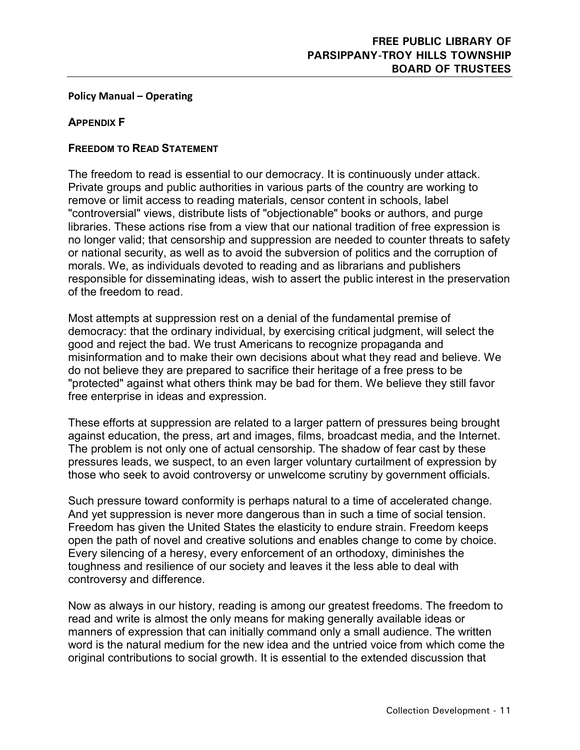#### APPENDIX F

## FREEDOM TO READ STATEMENT

The freedom to read is essential to our democracy. It is continuously under attack. Private groups and public authorities in various parts of the country are working to remove or limit access to reading materials, censor content in schools, label "controversial" views, distribute lists of "objectionable" books or authors, and purge libraries. These actions rise from a view that our national tradition of free expression is no longer valid; that censorship and suppression are needed to counter threats to safety or national security, as well as to avoid the subversion of politics and the corruption of morals. We, as individuals devoted to reading and as librarians and publishers responsible for disseminating ideas, wish to assert the public interest in the preservation of the freedom to read.

Most attempts at suppression rest on a denial of the fundamental premise of democracy: that the ordinary individual, by exercising critical judgment, will select the good and reject the bad. We trust Americans to recognize propaganda and misinformation and to make their own decisions about what they read and believe. We do not believe they are prepared to sacrifice their heritage of a free press to be "protected" against what others think may be bad for them. We believe they still favor free enterprise in ideas and expression.

These efforts at suppression are related to a larger pattern of pressures being brought against education, the press, art and images, films, broadcast media, and the Internet. The problem is not only one of actual censorship. The shadow of fear cast by these pressures leads, we suspect, to an even larger voluntary curtailment of expression by those who seek to avoid controversy or unwelcome scrutiny by government officials.

Such pressure toward conformity is perhaps natural to a time of accelerated change. And yet suppression is never more dangerous than in such a time of social tension. Freedom has given the United States the elasticity to endure strain. Freedom keeps open the path of novel and creative solutions and enables change to come by choice. Every silencing of a heresy, every enforcement of an orthodoxy, diminishes the toughness and resilience of our society and leaves it the less able to deal with controversy and difference.

Now as always in our history, reading is among our greatest freedoms. The freedom to read and write is almost the only means for making generally available ideas or manners of expression that can initially command only a small audience. The written word is the natural medium for the new idea and the untried voice from which come the original contributions to social growth. It is essential to the extended discussion that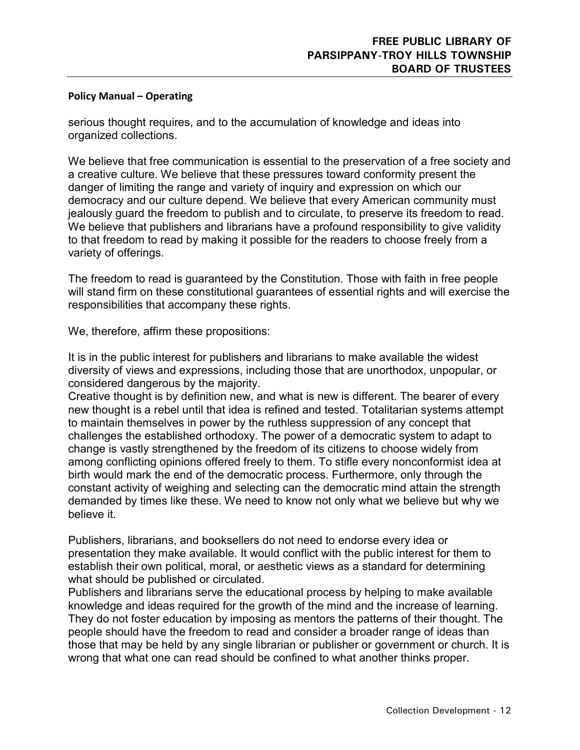serious thought requires, and to the accumulation of knowledge and ideas into organized collections.

We believe that free communication is essential to the preservation of a free society and a creative culture. We believe that these pressures toward conformity present the danger of limiting the range and variety of inquiry and expression on which our democracy and our culture depend. We believe that every American community must jealously guard the freedom to publish and to circulate, to preserve its freedom to read. We believe that publishers and librarians have a profound responsibility to give validity to that freedom to read by making it possible for the readers to choose freely from a variety of offerings.

The freedom to read is guaranteed by the Constitution. Those with faith in free people will stand firm on these constitutional guarantees of essential rights and will exercise the responsibilities that accompany these rights.

We, therefore, affirm these propositions:

It is in the public interest for publishers and librarians to make available the widest diversity of views and expressions, including those that are unorthodox, unpopular, or considered dangerous by the majority.

Creative thought is by definition new, and what is new is different. The bearer of every new thought is a rebel until that idea is refined and tested. Totalitarian systems attempt to maintain themselves in power by the ruthless suppression of any concept that challenges the established orthodoxy. The power of a democratic system to adapt to change is vastly strengthened by the freedom of its citizens to choose widely from among conflicting opinions offered freely to them. To stifle every nonconformist idea at birth would mark the end of the democratic process. Furthermore, only through the constant activity of weighing and selecting can the democratic mind attain the strength demanded by times like these. We need to know not only what we believe but why we believe it.

Publishers, librarians, and booksellers do not need to endorse every idea or presentation they make available. It would conflict with the public interest for them to establish their own political, moral, or aesthetic views as a standard for determining what should be published or circulated.

Publishers and librarians serve the educational process by helping to make available knowledge and ideas required for the growth of the mind and the increase of learning. They do not foster education by imposing as mentors the patterns of their thought. The people should have the freedom to read and consider a broader range of ideas than those that may be held by any single librarian or publisher or government or church. It is wrong that what one can read should be confined to what another thinks proper.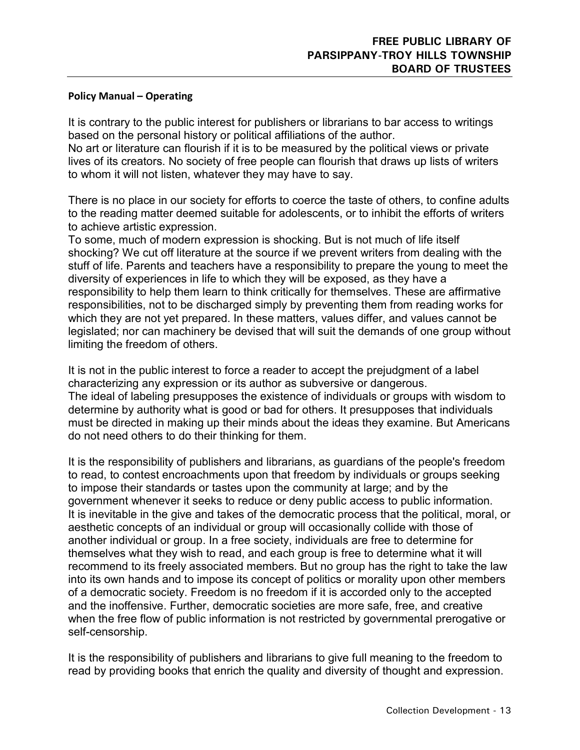It is contrary to the public interest for publishers or librarians to bar access to writings based on the personal history or political affiliations of the author.

No art or literature can flourish if it is to be measured by the political views or private lives of its creators. No society of free people can flourish that draws up lists of writers to whom it will not listen, whatever they may have to say.

There is no place in our society for efforts to coerce the taste of others, to confine adults to the reading matter deemed suitable for adolescents, or to inhibit the efforts of writers to achieve artistic expression.

To some, much of modern expression is shocking. But is not much of life itself shocking? We cut off literature at the source if we prevent writers from dealing with the stuff of life. Parents and teachers have a responsibility to prepare the young to meet the diversity of experiences in life to which they will be exposed, as they have a responsibility to help them learn to think critically for themselves. These are affirmative responsibilities, not to be discharged simply by preventing them from reading works for which they are not yet prepared. In these matters, values differ, and values cannot be legislated; nor can machinery be devised that will suit the demands of one group without limiting the freedom of others.

It is not in the public interest to force a reader to accept the prejudgment of a label characterizing any expression or its author as subversive or dangerous. The ideal of labeling presupposes the existence of individuals or groups with wisdom to determine by authority what is good or bad for others. It presupposes that individuals must be directed in making up their minds about the ideas they examine. But Americans do not need others to do their thinking for them.

It is the responsibility of publishers and librarians, as guardians of the people's freedom to read, to contest encroachments upon that freedom by individuals or groups seeking to impose their standards or tastes upon the community at large; and by the government whenever it seeks to reduce or deny public access to public information. It is inevitable in the give and takes of the democratic process that the political, moral, or aesthetic concepts of an individual or group will occasionally collide with those of another individual or group. In a free society, individuals are free to determine for themselves what they wish to read, and each group is free to determine what it will recommend to its freely associated members. But no group has the right to take the law into its own hands and to impose its concept of politics or morality upon other members of a democratic society. Freedom is no freedom if it is accorded only to the accepted and the inoffensive. Further, democratic societies are more safe, free, and creative when the free flow of public information is not restricted by governmental prerogative or self-censorship.

It is the responsibility of publishers and librarians to give full meaning to the freedom to read by providing books that enrich the quality and diversity of thought and expression.